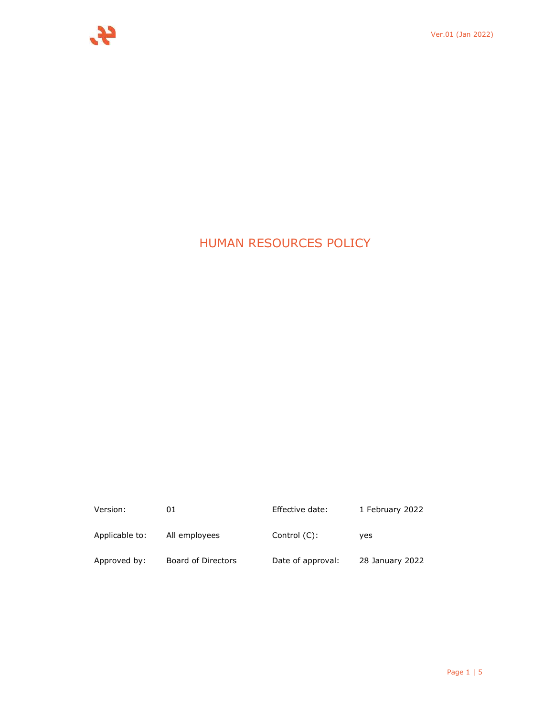# HUMAN RESOURCES POLICY

| Version:       | 01                 | Effective date:   | 1 February 2022 |
|----------------|--------------------|-------------------|-----------------|
| Applicable to: | All employees      | Control $(C)$ :   | ves             |
| Approved by:   | Board of Directors | Date of approval: | 28 January 2022 |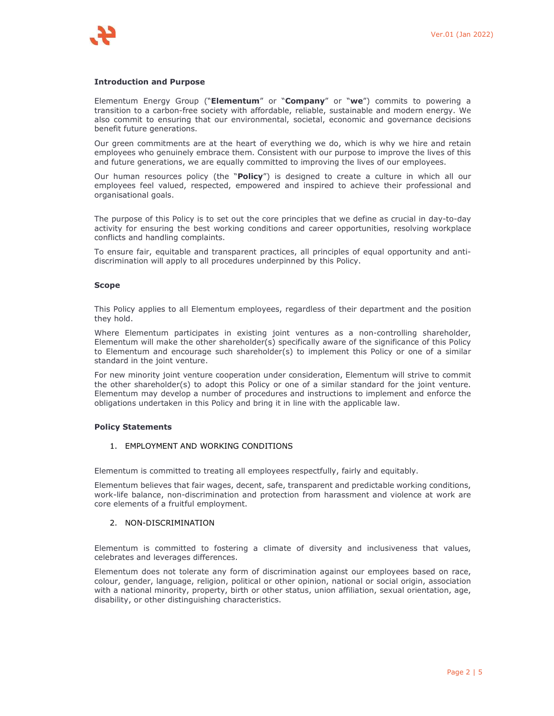## **Introduction and Purpose**

Elementum Energy Group ("**Elementum**" or "**Company**" or "**we**") commits to powering a transition to a carbon-free society with affordable, reliable, sustainable and modern energy. We also commit to ensuring that our environmental, societal, economic and governance decisions benefit future generations.

Our green commitments are at the heart of everything we do, which is why we hire and retain employees who genuinely embrace them. Consistent with our purpose to improve the lives of this and future generations, we are equally committed to improving the lives of our employees.

Our human resources policy (the "**Policy**") is designed to create a culture in which all our employees feel valued, respected, empowered and inspired to achieve their professional and organisational goals.

The purpose of this Policy is to set out the core principles that we define as crucial in day-to-day activity for ensuring the best working conditions and career opportunities, resolving workplace conflicts and handling complaints.

To ensure fair, equitable and transparent practices, all principles of equal opportunity and antidiscrimination will apply to all procedures underpinned by this Policy.

## **Scope**

This Policy applies to all Elementum employees, regardless of their department and the position they hold.

Where Elementum participates in existing joint ventures as a non-controlling shareholder, Elementum will make the other shareholder(s) specifically aware of the significance of this Policy to Elementum and encourage such shareholder(s) to implement this Policy or one of a similar standard in the joint venture.

For new minority joint venture cooperation under consideration, Elementum will strive to commit the other shareholder(s) to adopt this Policy or one of a similar standard for the joint venture. Elementum may develop a number of procedures and instructions to implement and enforce the obligations undertaken in this Policy and bring it in line with the applicable law.

## **Policy Statements**

## 1. EMPLOYMENT AND WORKING CONDITIONS

Elementum is committed to treating all employees respectfully, fairly and equitably.

Elementum believes that fair wages, decent, safe, transparent and predictable working conditions, work-life balance, non-discrimination and protection from harassment and violence at work are core elements of a fruitful employment.

## 2. NON-DISCRIMINATION

Elementum is committed to fostering a climate of diversity and inclusiveness that values, celebrates and leverages differences.

Elementum does not tolerate any form of discrimination against our employees based on race, colour, gender, language, religion, political or other opinion, national or social origin, association with a national minority, property, birth or other status, union affiliation, sexual orientation, age, disability, or other distinguishing characteristics.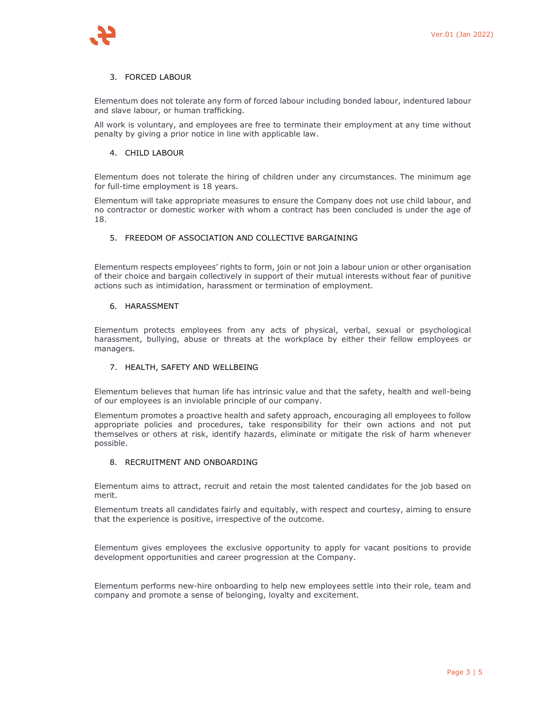

# 3. FORCED LABOUR

Elementum does not tolerate any form of forced labour including bonded labour, indentured labour and slave labour, or human trafficking.

All work is voluntary, and employees are free to terminate their employment at any time without penalty by giving a prior notice in line with applicable law.

# 4. CHILD LABOUR

Elementum does not tolerate the hiring of children under any circumstances. The minimum age for full-time employment is 18 years.

Elementum will take appropriate measures to ensure the Company does not use child labour, and no contractor or domestic worker with whom a contract has been concluded is under the age of 18.

# 5. FREEDOM OF ASSOCIATION AND COLLECTIVE BARGAINING

Elementum respects employees' rights to form, join or not join a labour union or other organisation of their choice and bargain collectively in support of their mutual interests without fear of punitive actions such as intimidation, harassment or termination of employment.

# 6. HARASSMENT

Elementum protects employees from any acts of physical, verbal, sexual or psychological harassment, bullying, abuse or threats at the workplace by either their fellow employees or managers.

# 7. HEALTH, SAFETY AND WELLBEING

Elementum believes that human life has intrinsic value and that the safety, health and well-being of our employees is an inviolable principle of our company.

Elementum promotes a proactive health and safety approach, encouraging all employees to follow appropriate policies and procedures, take responsibility for their own actions and not put themselves or others at risk, identify hazards, eliminate or mitigate the risk of harm whenever possible.

# 8. RECRUITMENT AND ONBOARDING

Elementum aims to attract, recruit and retain the most talented candidates for the job based on merit.

Elementum treats all candidates fairly and equitably, with respect and courtesy, aiming to ensure that the experience is positive, irrespective of the outcome.

Elementum gives employees the exclusive opportunity to apply for vacant positions to provide development opportunities and career progression at the Company.

Elementum performs new-hire onboarding to help new employees settle into their role, team and company and promote a sense of belonging, loyalty and excitement.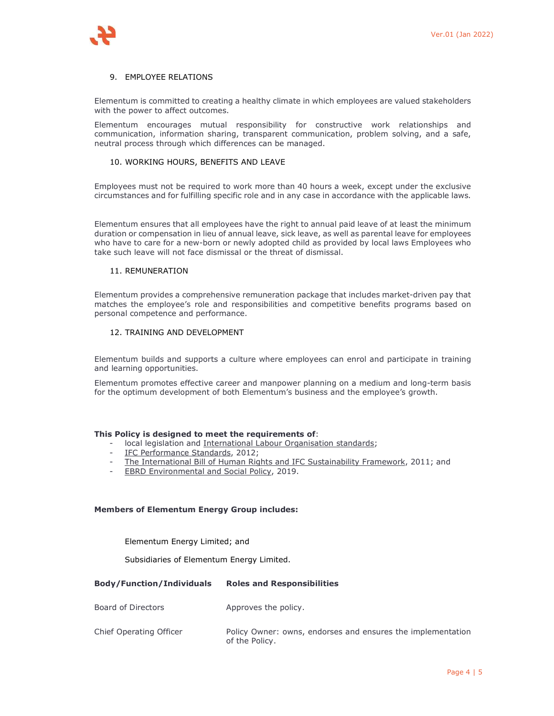# 9. EMPLOYEE RELATIONS

Elementum is committed to creating a healthy climate in which employees are valued stakeholders with the power to affect outcomes.

Elementum encourages mutual responsibility for constructive work relationships and communication, information sharing, transparent communication, problem solving, and a safe, neutral process through which differences can be managed.

## 10. WORKING HOURS, BENEFITS AND LEAVE

Employees must not be required to work more than 40 hours a week, except under the exclusive circumstances and for fulfilling specific role and in any case in accordance with the applicable laws.

Elementum ensures that all employees have the right to annual paid leave of at least the minimum duration or compensation in lieu of annual leave, sick leave, as well as parental leave for employees who have to care for a new-born or newly adopted child as provided by local laws Employees who take such leave will not face dismissal or the threat of dismissal.

# 11. REMUNERATION

Elementum provides a comprehensive remuneration package that includes market-driven pay that matches the employee's role and responsibilities and competitive benefits programs based on personal competence and performance.

# 12. TRAINING AND DEVELOPMENT

Elementum builds and supports a culture where employees can enrol and participate in training and learning opportunities.

Elementum promotes effective career and manpower planning on a medium and long-term basis for the optimum development of both Elementum's business and the employee's growth.

## **This Policy is designed to meet the requirements of**:

- local legislation and International Labour Organisation standards;
- IFC Performance Standards, 2012;
- The International Bill of Human Rights and IFC Sustainability Framework, 2011; and
- EBRD Environmental and Social Policy, 2019.

## **Members of Elementum Energy Group includes:**

Elementum Energy Limited; and

Subsidiaries of Elementum Energy Limited.

## **Body/Function/Individuals Roles and Responsibilities**

Board of Directors **Approves** the policy.

Chief Operating Officer **Policy Owner: owns, endorses and ensures the implementation** of the Policy.